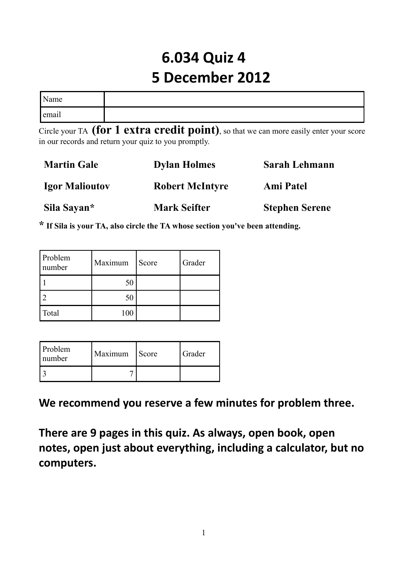# **6.034 Quiz 4 5 December 2012**

| Name  |  |
|-------|--|
| email |  |

Circle your TA **(for 1 extra credit point)**, so that we can more easily enter your score in our records and return your quiz to you promptly.

| <b>Martin Gale</b>    | <b>Dylan Holmes</b>    | <b>Sarah Lehmann</b>  |
|-----------------------|------------------------|-----------------------|
| <b>Igor Malioutov</b> | <b>Robert McIntyre</b> | <b>Ami Patel</b>      |
| Sila Sayan*           | <b>Mark Seifter</b>    | <b>Stephen Serene</b> |

**\* If Sila is your TA, also circle the TA whose section you've been attending.**

| Problem<br>number | Maximum | Score | Grader |
|-------------------|---------|-------|--------|
|                   | 50      |       |        |
|                   | 50      |       |        |
| Total             | 100     |       |        |

| <b>Problem</b><br>number | Maximum | Score | Grader |
|--------------------------|---------|-------|--------|
|                          |         |       |        |

**We recommend you reserve a few minutes for problem three.**

**There are 9 pages in this quiz. As always, open book, open notes, open just about everything, including a calculator, but no computers.**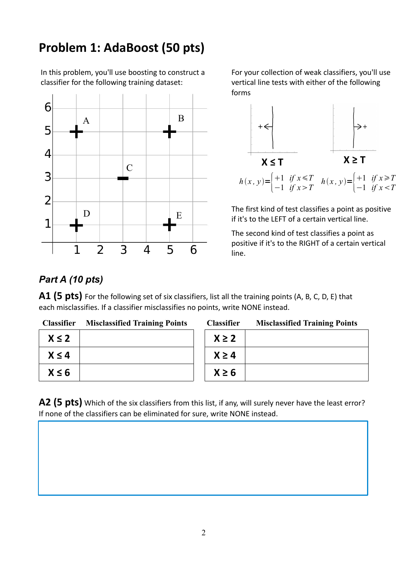## **Problem 1: AdaBoost (50 pts)**

In this problem, you'll use boosting to construct a classifier for the following training dataset:



For your collection of weak classifiers, you'll use vertical line tests with either of the following forms



The first kind of test classifies a point as positive if it's to the LEFT of a certain vertical line.

The second kind of test classifies a point as positive if it's to the RIGHT of a certain vertical line.

### *Part A (10 pts)*

**A1 (5 pts)** For the following set of six classifiers, list all the training points (A, B, C, D, E) that each misclassifies. If a classifier misclassifies no points, write NONE instead.

| <b>Classifier</b> | <b>Misclassified Training Points</b> | <b>Classifier</b> | <b>Misclassified Training Points</b> |
|-------------------|--------------------------------------|-------------------|--------------------------------------|
| $X \leq 2$        |                                      | $X \geq 2$        |                                      |
| $X \leq 4$        |                                      | $X \geq 4$        |                                      |
| $X \leq 6$        |                                      | $X \geq 6$        |                                      |

A2 (5 pts) Which of the six classifiers from this list, if any, will surely never have the least error? If none of the classifiers can be eliminated for sure, write NONE instead.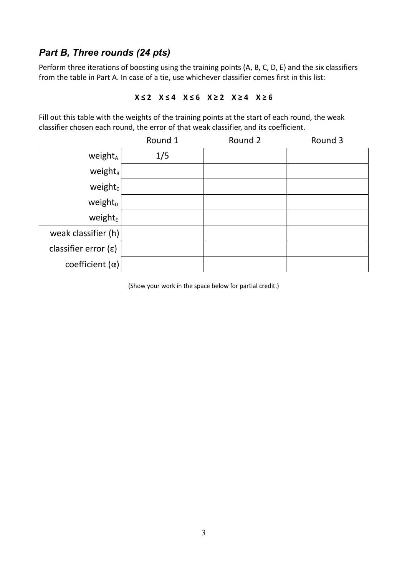#### *Part B, Three rounds (24 pts)*

Perform three iterations of boosting using the training points (A, B, C, D, E) and the six classifiers from the table in Part A. In case of a tie, use whichever classifier comes first in this list:

#### **X ≤ 2 X ≤ 4 X ≤ 6 X ≥ 2 X ≥ 4 X ≥ 6**

Fill out this table with the weights of the training points at the start of each round, the weak classifier chosen each round, the error of that weak classifier, and its coefficient.

|                               | Round 1 | Round 2 | Round 3 |
|-------------------------------|---------|---------|---------|
| weight <sub>A</sub>           | 1/5     |         |         |
| $weight_B$                    |         |         |         |
| $weight_c$                    |         |         |         |
| weight <sub>D</sub>           |         |         |         |
| weight $E$                    |         |         |         |
| weak classifier $(h)$         |         |         |         |
| classifier error $(\epsilon)$ |         |         |         |
| coefficient $(\alpha)$        |         |         |         |

(Show your work in the space below for partial credit.)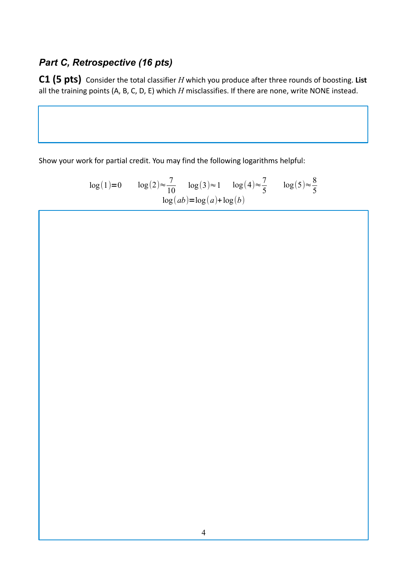### *Part C, Retrospective (16 pts)*

**C1 (5 pts)** Consider the total classifier *H* which you produce after three rounds of boosting. **List** all the training points (A, B, C, D, E) which *H* misclassifies. If there are none, write NONE instead.

Show your work for partial credit. You may find the following logarithms helpful:

$$
\log(1)=0 \qquad \log(2) \approx \frac{7}{10} \qquad \log(3) \approx 1 \qquad \log(4) \approx \frac{7}{5} \qquad \log(5) \approx \frac{8}{5}
$$

$$
\log(ab) = \log(a) + \log(b)
$$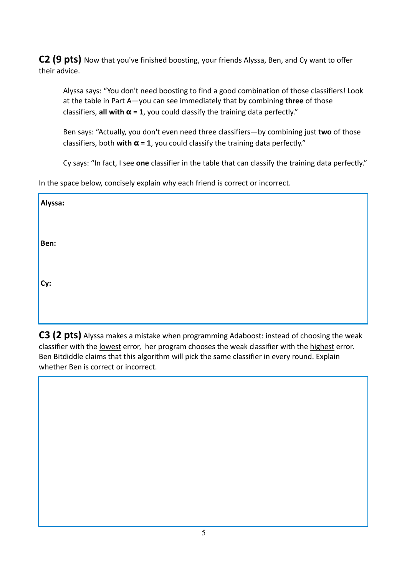**C2 (9 pts)** Now that you've finished boosting, your friends Alyssa, Ben, and Cy want to offer their advice.

Alyssa says: "You don't need boosting to find a good combination of those classifiers! Look at the table in Part A—you can see immediately that by combining **three** of those classifiers, **all with α = 1**, you could classify the training data perfectly."

Ben says: "Actually, you don't even need three classifiers—by combining just **two** of those classifiers, both **with α = 1**, you could classify the training data perfectly."

Cy says: "In fact, I see **one** classifier in the table that can classify the training data perfectly."

In the space below, concisely explain why each friend is correct or incorrect.

| Alyssa: |  |  |  |
|---------|--|--|--|
|         |  |  |  |
| Ben:    |  |  |  |
|         |  |  |  |
| $Cy$ :  |  |  |  |
|         |  |  |  |
|         |  |  |  |

**C3 (2 pts)** Alyssa makes a mistake when programming Adaboost: instead of choosing the weak classifier with the lowest error, her program chooses the weak classifier with the highest error. Ben Bitdiddle claims that this algorithm will pick the same classifier in every round. Explain whether Ben is correct or incorrect.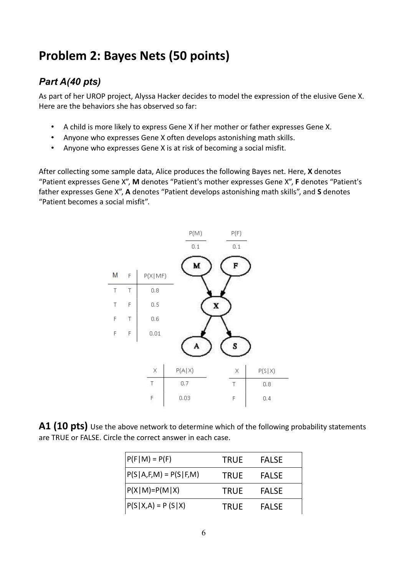## **Problem 2: Bayes Nets (50 points)**

### *Part A(40 pts)*

As part of her UROP project, Alyssa Hacker decides to model the expression of the elusive Gene X. Here are the behaviors she has observed so far:

- A child is more likely to express Gene X if her mother or father expresses Gene X.
- Anyone who expresses Gene X often develops astonishing math skills.
- Anyone who expresses Gene X is at risk of becoming a social misfit.

After collecting some sample data, Alice produces the following Bayes net. Here, **X** denotes "Patient expresses Gene X", **M** denotes "Patient's mother expresses Gene X", **F** denotes "Patient's father expresses Gene X", **A** denotes "Patient develops astonishing math skills", and **S** denotes "Patient becomes a social misfit".



**A1 (10 pts)** Use the above network to determine which of the following probability statements are TRUE or FALSE. Circle the correct answer in each case.

| $P(F M) = P(F)$            | <b>TRUE</b> | <b>FALSE</b> |
|----------------------------|-------------|--------------|
| $P(S A, F, M) = P(S F, M)$ | <b>TRUE</b> | <b>FALSE</b> |
| $P(X M)=P(M X)$            | <b>TRUE</b> | <b>FALSE</b> |
| $P(S X,A) = P(S X)$        | <b>TRUE</b> | <b>FALSE</b> |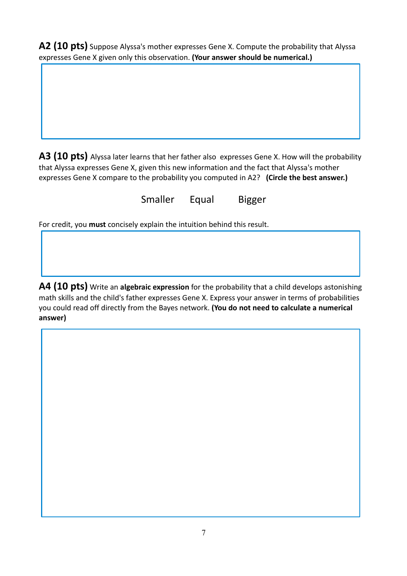**A2 (10 pts)** Suppose Alyssa's mother expresses Gene X. Compute the probability that Alyssa expresses Gene X given only this observation. **(Your answer should be numerical.)**

**A3 (10 pts)** Alyssa later learns that her father also expresses Gene X. How will the probability that Alyssa expresses Gene X, given this new information and the fact that Alyssa's mother expresses Gene X compare to the probability you computed in A2? **(Circle the best answer.)**

Smaller Equal Bigger

For credit, you **must** concisely explain the intuition behind this result.

**A4 (10 pts)** Write an **algebraic expression** for the probability that a child develops astonishing math skills and the child's father expresses Gene X. Express your answer in terms of probabilities you could read off directly from the Bayes network. **(You do not need to calculate a numerical answer)**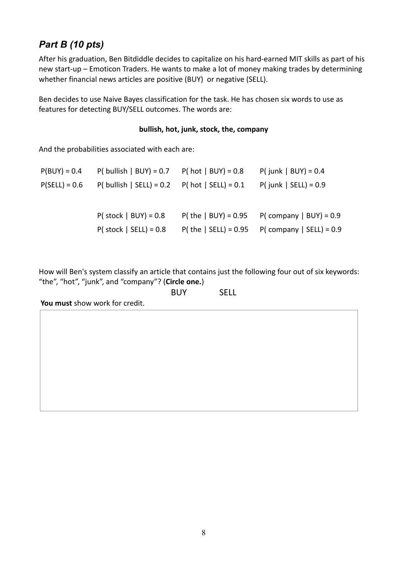### *Part B (10 pts)*

After his graduation, Ben Bitdiddle decides to capitalize on his hard-earned MIT skills as part of his new start-up – Emoticon Traders. He wants to make a lot of money making trades by determining whether financial news articles are positive (BUY) or negative (SELL).

Ben decides to use Naive Bayes classification for the task. He has chosen six words to use as features for detecting BUY/SELL outcomes. The words are:

#### **bullish, hot, junk, stock, the, company**

And the probabilities associated with each are:

| $P(BUY) = 0.4$  | $P($ bullish   BUY) = 0.7 $P($ hot   BUY) = 0.8   |                          | $P$ ( junk   BUY) = 0.4    |
|-----------------|---------------------------------------------------|--------------------------|----------------------------|
| $P(SELL) = 0.6$ | P( bullish   SELL) = $0.2$ P( hot   SELL) = $0.1$ |                          | $P$ ( junk   SELL) = 0.9   |
|                 |                                                   |                          |                            |
|                 | $P($ stock   BUY) = 0.8                           | $P$ (the   BUY) = 0.95   | $P( company   BUY) = 0.9$  |
|                 | $P($ stock   SELL) = 0.8                          | $P$ ( the   SELL) = 0.95 | $P( company   SELL) = 0.9$ |
|                 |                                                   |                          |                            |

How will Ben's system classify an article that contains just the following four out of six keywords: "the", "hot", "junk", and "company"? (**Circle one.**)

|  | <b>BUY</b> | <b>SELL</b> |
|--|------------|-------------|
|  |            |             |

**You must** show work for credit.